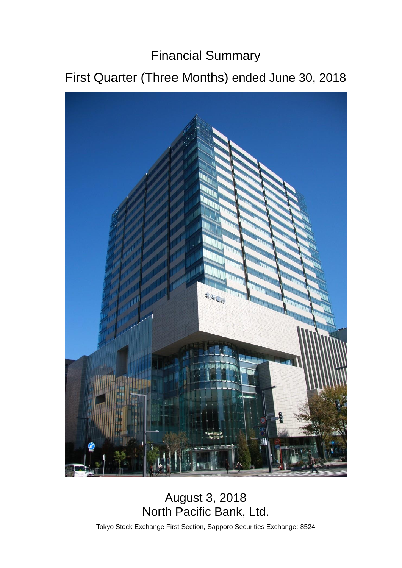# Financial Summary

# First Quarter (Three Months) ended June 30, 2018



## August 3, 2018 North Pacific Bank, Ltd.

Tokyo Stock Exchange First Section, Sapporo Securities Exchange: 8524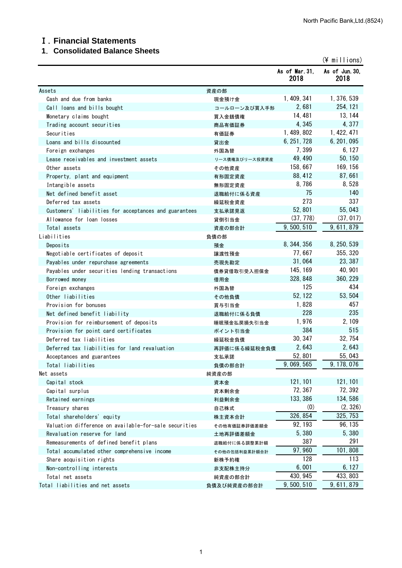#### Ⅰ.**Financial Statements**

## **1**.**Consolidated Balance Sheets**

|                                                       |                |                        | $(\frac{2}{3})$ millions) |
|-------------------------------------------------------|----------------|------------------------|---------------------------|
|                                                       |                | As of Mar. 31,<br>2018 | As of Jun. 30,<br>2018    |
| Assets                                                | 資産の部           |                        |                           |
| Cash and due from banks                               | 現金預け金          | 1, 409, 341            | 1, 376, 539               |
| Call loans and bills bought                           | コールローン及び買入手形   | 2,681                  | 254, 121                  |
| Monetary claims bought                                | 買入金銭債権         | 14, 481                | 13, 144                   |
| Trading account securities                            | 商品有価証券         | 4,345                  | 4,377                     |
| Securities                                            | 有価証券           | 1, 489, 802            | 1, 422, 471               |
| Loans and bills discounted                            | 貸出金            | 6, 251, 728            | 6, 201, 095               |
| Foreign exchanges                                     | 外国為替           | 7,399                  | 6, 127                    |
| Lease receivables and investment assets               | リース債権及びリース投資資産 | 49, 490                | 50, 150                   |
| Other assets                                          | その他資産          | 158, 667               | 169, 156                  |
| Property, plant and equipment                         | 有形固定資産         | 88, 412                | 87,661                    |
| Intangible assets                                     | 無形固定資産         | 8,786                  | 8,528                     |
| Net defined benefit asset                             | 退職給付に係る資産      | 75                     | 140                       |
| Deferred tax assets                                   | 繰延税金資産         | 273                    | 337                       |
| Customers' liabilities for acceptances and guarantees | 支払承諾見返         | 52,801                 | 55,043                    |
| Allowance for loan losses                             | 貸倒引当金          | (37, 778)              | (37, 017)                 |
| Total assets                                          | 資産の部合計         | 9,500,510              | 9, 611, 879               |
| Liabilities                                           | 負債の部           |                        |                           |
| Deposits                                              | 預金             | 8, 344, 356            | 8, 250, 539               |
| Negotiable certificates of deposit                    | 譲渡性預金          | 77,667                 | 355, 320                  |
|                                                       |                | 31,064                 | 23, 387                   |
| Payables under repurchase agreements                  | 売現先勘定          | 145, 169               | 40, 901                   |
| Payables under securities lending transactions        | 債券貸借取引受入担保金    | 328, 848               | 360, 229                  |
| Borrowed money                                        | 借用金            | 125                    | 434                       |
| Foreign exchanges                                     | 外国為替           | 52, 122                | 53, 504                   |
| Other liabilities                                     | その他負債          |                        | 457                       |
| Provision for bonuses                                 | 賞与引当金          | 1,828<br>228           | 235                       |
| Net defined benefit liability                         | 退職給付に係る負債      |                        |                           |
| Provision for reimbursement of deposits               | 睡眠預金払戻損失引当金    | 1,976                  | 2, 109                    |
| Provision for point card certificates                 | ポイント引当金        | 384                    | 515                       |
| Deferred tax liabilities                              | 繰延税金負債         | 30, 347                | 32, 754                   |
| Deferred tax liabilities for land revaluation         | 再評価に係る繰延税金負債   | 2,643                  | 2,643                     |
| Acceptances and guarantees                            | 支払承諾           | 52,801                 | 55,043                    |
| Total liabilities                                     | 負債の部合計         | 9, 069, 565            | 9, 178, 076               |
| Net assets                                            | 純資産の部          |                        |                           |
| Capital stock                                         | 資本金            | 121, 101               | 121, 101                  |
| Capital surplus                                       | 資本剰余金          | 72, 367                | 72, 392                   |
| Retained earnings                                     | 利益剰余金          | 133, 386               | 134,586                   |
| Treasury shares                                       | 自己株式           | (0)                    | (2, 326)                  |
| Total shareholders' equity                            | 株主資本合計         | 326, 854               | 325, 753                  |
| Valuation difference on available-for-sale securities | その他有価証券評価差額金   | 92, 193                | 96, 135                   |
| Revaluation reserve for land                          | 土地再評価差額金       | 5,380                  | 5,380                     |
| Remeasurements of defined benefit plans               | 退職給付に係る調整累計額   | 387                    | 291                       |
| Total accumulated other comprehensive income          | その他の包括利益累計額合計  | 97, 960                | 101,808                   |
| Share acquisition rights                              | 新株予約権          | 128                    | 113                       |
| Non-controlling interests                             | 非支配株主持分        | 6,001                  | 6, 127                    |
| Total net assets                                      | 純資産の部合計        | 430, 945               | 433, 803                  |
| Total liabilities and net assets                      | 負債及び純資産の部合計    | 9, 500, 510            | 9, 611, 879               |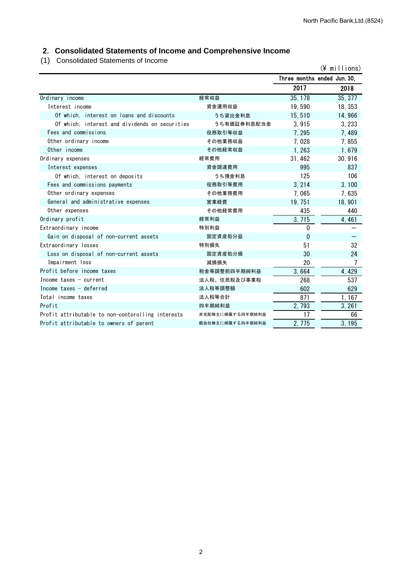## **2**.**Consolidated Statements of Income and Comprehensive Income**

(1) Consolidated Statements of Income

|                                                   |                  |                             | $(4$ millions) |
|---------------------------------------------------|------------------|-----------------------------|----------------|
|                                                   |                  | Three months ended Jun. 30. |                |
|                                                   |                  | 2017                        | 2018           |
| Ordinary income                                   | 経常収益             | 35, 178                     | 35, 377        |
| Interest income                                   | 資金運用収益           | 19,590                      | 18, 353        |
| Of which, interest on loans and discounts         | うち貸出金利息          | 15,510                      | 14,966         |
| Of which, interest and dividends on securities    | うち有価証券利息配当金      | 3.915                       | 3, 233         |
| Fees and commissions                              | 役務取引等収益          | 7, 295                      | 7,489          |
| Other ordinary income                             | その他業務収益          | 7,028                       | 7,855          |
| Other income                                      | その他経常収益          | 1,263                       | 1,679          |
| Ordinary expenses                                 | 経常費用             | 31, 462                     | 30, 916        |
| Interest expenses                                 | 資金調達費用           | 995                         | 837            |
| Of which, interest on deposits                    | うち預金利息           | 125                         | 106            |
| Fees and commissions payments                     | 役務取引等費用          | 3, 214                      | 3, 100         |
| Other ordinary expenses                           | その他業務費用          | 7,065                       | 7,635          |
| General and administrative expenses               | 営業経費             | 19, 751                     | 18, 901        |
| Other expenses                                    | その他経常費用          | 435                         | 440            |
| Ordinary profit                                   | 経常利益             | 3,715                       | 4,461          |
| Extraordinary income                              | 特別利益             | 0                           |                |
| Gain on disposal of non-current assets            | 固定資産処分益          | $\mathbf{0}$                |                |
| Extraordinary losses                              | 特別損失             | 51                          | 32             |
| Loss on disposal of non-current assets            | 固定資産処分損          | 30                          | 24             |
| Impairment loss                                   | 減損損失             | 20                          | 7              |
| Profit before income taxes                        | 税金等調整前四半期純利益     | 3,664                       | 4, 429         |
| Income taxes $-$ current                          | 法人税、住民税及び事業税     | 268                         | 537            |
| Income taxes - deferred                           | 法人税等調整額          | 602                         | 629            |
| Total income taxes                                | 法人税等合計           | 871                         | 1, 167         |
| Profit                                            | 四半期純利益           | 2,793                       | 3, 261         |
| Profit attributable to non-contorolling interests | 非支配株主に帰属する四半期純利益 | 17                          | 66             |
| Profit attributable to owners of parent           | 親会社株主に帰属する四半期純利益 | 2.775                       | 3, 195         |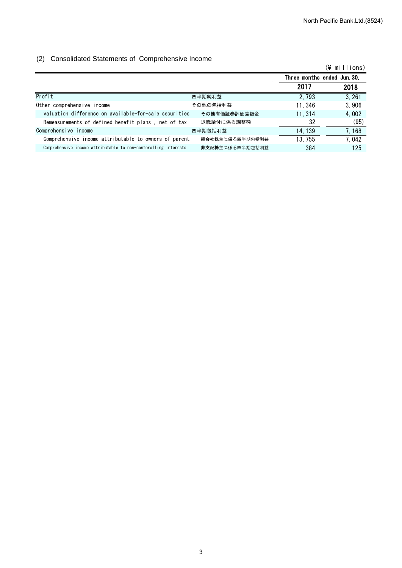#### (2) Consolidated Statements of Comprehensive Income

|                                                                 |                 |                             | (¥ millions) |
|-----------------------------------------------------------------|-----------------|-----------------------------|--------------|
|                                                                 |                 | Three months ended Jun. 30, |              |
|                                                                 |                 | 2017                        | 2018         |
| Profit                                                          | 四半期純利益          | 2.793                       | 3,261        |
| Other comprehensive income                                      | その他の包括利益        | 11.346                      | 3,906        |
| valuation difference on available-for-sale securities           | その他有価証券評価差額金    | 11.314                      | 4,002        |
| Remeasurements of defined benefit plans, net of tax             | 退職給付に係る調整額      | 32                          | (95)         |
| Comprehensive income                                            | 四半期包括利益         | 14, 139                     | 7, 168       |
| Comprehensive income attributable to owners of parent           | 親会社株主に係る四半期包括利益 | 13, 755                     | 7.042        |
| Comprehensive income attributable to non-contorolling interests | 非支配株主に係る四半期包括利益 | 384                         | 125          |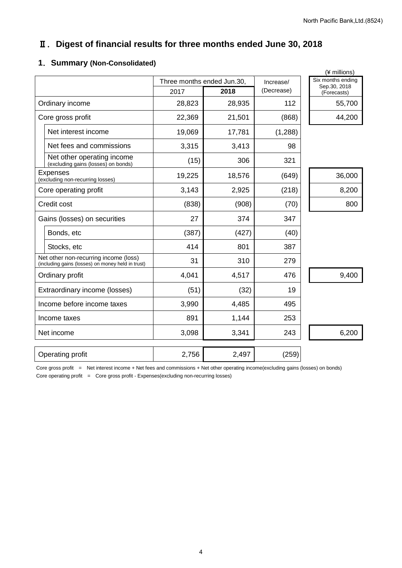## Ⅱ.**Digest of financial results for three months ended June 30, 2018**

#### **1**.**Summary (Non-Consolidated)**

|                                                                                            |                            |        |            | (¥ millions)                      |
|--------------------------------------------------------------------------------------------|----------------------------|--------|------------|-----------------------------------|
|                                                                                            | Three months ended Jun.30, |        | Increase/  | Six months ending<br>Sep.30, 2018 |
|                                                                                            | 2017                       | 2018   | (Decrease) | (Forecasts)                       |
| Ordinary income                                                                            | 28,823                     | 28,935 | 112        | 55,700                            |
| Core gross profit                                                                          | 22,369                     | 21,501 | (868)      | 44,200                            |
| Net interest income                                                                        | 19,069                     | 17,781 | (1,288)    |                                   |
| Net fees and commissions                                                                   | 3,315                      | 3,413  | 98         |                                   |
| Net other operating income<br>(excluding gains (losses) on bonds)                          | (15)                       | 306    | 321        |                                   |
| <b>Expenses</b><br>(excluding non-recurring losses)                                        | 19,225                     | 18,576 | (649)      | 36,000                            |
| Core operating profit                                                                      | 3,143                      | 2,925  | (218)      | 8,200                             |
| Credit cost                                                                                | (838)                      | (908)  | (70)       | 800                               |
| Gains (losses) on securities                                                               | 27                         | 374    | 347        |                                   |
| Bonds, etc                                                                                 | (387)                      | (427)  | (40)       |                                   |
| Stocks, etc                                                                                | 414                        | 801    | 387        |                                   |
| Net other non-recurring income (loss)<br>(including gains (losses) on money held in trust) | 31                         | 310    | 279        |                                   |
| Ordinary profit                                                                            | 4,041                      | 4,517  | 476        | 9,400                             |
| Extraordinary income (losses)                                                              | (51)                       | (32)   | 19         |                                   |
| Income before income taxes                                                                 | 3,990                      | 4,485  | 495        |                                   |
| Income taxes                                                                               | 891                        | 1,144  | 253        |                                   |
| Net income                                                                                 | 3,098                      | 3,341  | 243        | 6,200                             |
| Operating profit                                                                           | 2,756                      | 2,497  | (259)      |                                   |

Core gross profit = Net interest income + Net fees and commissions + Net other operating income(excluding gains (losses) on bonds) Core operating profit = Core gross profit - Expenses(excluding non-recurring losses)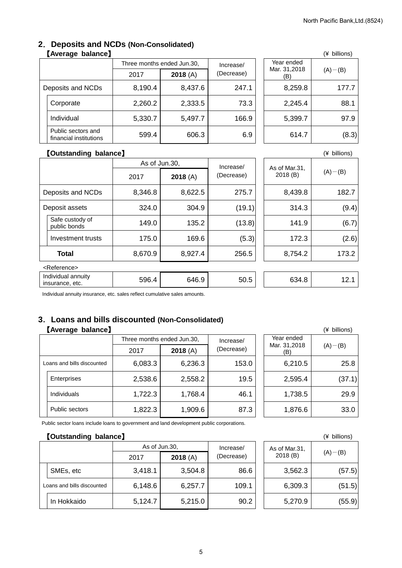#### **2**.**Deposits and NCDs (Non-Consolidated)** 【Average balance】

|                   |                                              | Three months ended Jun.30, |         | Increase/  | Year ended          |             |
|-------------------|----------------------------------------------|----------------------------|---------|------------|---------------------|-------------|
|                   |                                              | 2017                       | 2018(A) | (Decrease) | Mar. 31,2018<br>(B) | $(A)$ – (B) |
| Deposits and NCDs |                                              | 8,190.4                    | 8,437.6 | 247.1      | 8,259.8             | 177.7       |
|                   | Corporate                                    | 2,260.2                    | 2,333.5 | 73.3       | 2,245.4             | 88.1        |
|                   | Individual                                   | 5,330.7                    | 5,497.7 | 166.9      | 5,399.7             | 97.9        |
|                   | Public sectors and<br>financial institutions | 599.4                      | 606.3   | 6.9        | 614.7               | (8.3)       |

|                            | (¥ billions) |
|----------------------------|--------------|
| Year ended<br>Mar. 31,2018 | $(A) - (B)$  |
| 8,259.8                    | 177.7        |
| 2,245.4                    | 88.1         |
| 5,399.7                    | 97.9         |
| 614.7                      | (8.3)        |

#### 【**Outstanding balance**】 (¥ billions)

|                |                                       |         | As of Jun.30, |                         | As of Mar.31. |             |
|----------------|---------------------------------------|---------|---------------|-------------------------|---------------|-------------|
|                |                                       | 2017    | 2018(A)       | Increase/<br>(Decrease) | 2018(B)       | $(A) - (B)$ |
|                | Deposits and NCDs                     | 8,346.8 | 8,622.5       | 275.7                   | 8,439.8       | 182.7       |
| Deposit assets |                                       | 324.0   | 304.9         | (19.1)                  | 314.3         | (9.4)       |
|                | Safe custody of<br>public bonds       | 149.0   | 135.2         | (13.8)                  | 141.9         | (6.7)       |
|                | Investment trusts                     | 175.0   | 169.6         | (5.3)                   | 172.3         | (2.6)       |
|                | <b>Total</b>                          | 8,670.9 | 8,927.4       | 256.5                   | 8,754.2       | 173.2       |
|                | <reference></reference>               |         |               |                         |               |             |
|                | Individual annuity<br>insurance, etc. | 596.4   | 646.9         | 50.5                    | 634.8         | 12.1        |

Individual annuity insurance, etc. sales reflect cumulative sales amounts.

## **3**.**Loans and bills discounted (Non-Consolidated)**

## 【**Average balance**】 (¥ billions)

|  |                            | Three months ended Jun.30, |         | Year ended<br>Increase/ |         |                     |             |
|--|----------------------------|----------------------------|---------|-------------------------|---------|---------------------|-------------|
|  |                            | 2017                       | 2018(A) | (Decrease)              |         | Mar. 31,2018<br>(B) | $(A)$ – (B) |
|  | Loans and bills discounted | 6,083.3                    | 6,236.3 | 153.0                   | 6,210.5 | 25.8                |             |
|  | Enterprises                | 2,538.6                    | 2,558.2 | 19.5                    | 2,595.4 | (37.1)              |             |
|  | Individuals                | 1,722.3                    | 1,768.4 | 46.1                    | 1,738.5 | 29.9                |             |
|  | <b>Public sectors</b>      | 1,822.3                    | 1,909.6 | 87.3                    | 1,876.6 | 33.0                |             |

|                                   | (¥ billions) |
|-----------------------------------|--------------|
| Year ended<br>Mar. 31,2018<br>(B) | $(A) - (B)$  |
| 6,210.5                           | 25.8         |
| 2,595.4                           | (37.1)       |
| 1,738.5                           | 29.9         |
| 1,876.6                           | 33.0         |

Public sector loans include loans to government and land development public corporations.

## 【**Outstanding balance**】 (¥ billions)

|                            | As of Jun.30. |         | Increase/  |  | As of Mar.31. |             |
|----------------------------|---------------|---------|------------|--|---------------|-------------|
|                            | 2017          | 2018(A) | (Decrease) |  | 2018(B)       | $(A) - (B)$ |
| SMEs, etc                  | 3,418.1       | 3,504.8 | 86.6       |  | 3,562.3       | (57.5)      |
| Loans and bills discounted | 6,148.6       | 6,257.7 | 109.1      |  | 6,309.3       | (51.5)      |
| In Hokkaido                | 5,124.7       | 5,215.0 | 90.2       |  | 5,270.9       | (55.9)      |

|                           | (¥ billions) |
|---------------------------|--------------|
| As of Mar.31,<br>2018 (B) | $(A) - (B)$  |
| 3,562.3                   | (57.5)       |
| 6,309.3                   | (51.5)       |
| 5,270.9                   | (55.9)       |